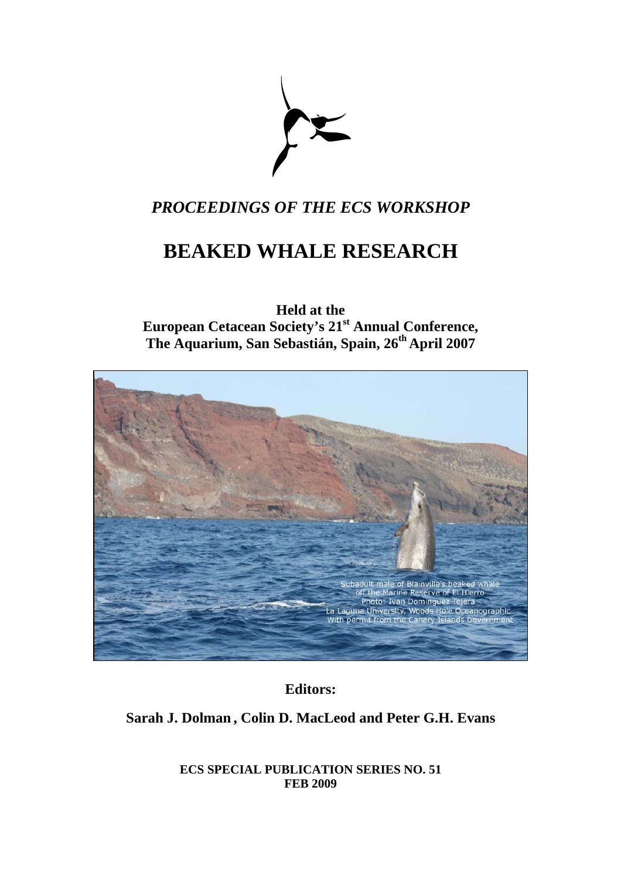

## *PROCEEDINGS OF THE ECS WORKSHOP*

# **BEAKED WHALE RESEARCH**

**Held at the European Cetacean Society's 21st Annual Conference, The Aquarium, San Sebastián, Spain, 26th April 2007** 



**Editors:** 

### **Sarah J. Dolman , Colin D. MacLeod and Peter G.H. Evans**

**ECS SPECIAL PUBLICATION SERIES NO. 51 FEB 2009**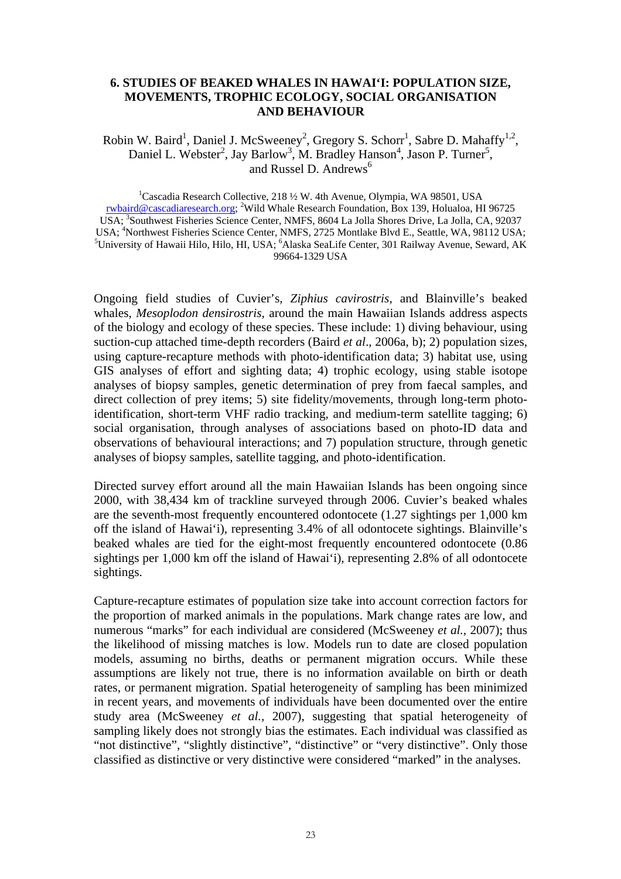#### **6. STUDIES OF BEAKED WHALES IN HAWAI'I: POPULATION SIZE, MOVEMENTS, TROPHIC ECOLOGY, SOCIAL ORGANISATION AND BEHAVIOUR**

Robin W. Baird<sup>1</sup>, Daniel J. McSweeney<sup>2</sup>, Gregory S. Schorr<sup>1</sup>, Sabre D. Mahaffy<sup>1,2</sup>, Daniel L. Webster<sup>2</sup>, Jay Barlow<sup>3</sup>, M. Bradley Hanson<sup>4</sup>, Jason P. Turner<sup>5</sup>, and Russel D. Andrews<sup>6</sup>

<sup>1</sup>Cascadia Research Collective, 218 1/2 W. 4th Avenue, Olympia, WA 98501, USA [rwbaird@cascadiaresearch.org](mailto:rwbaird@cascadiaresearch.org); <sup>2</sup>Wild Whale Research Foundation, Box 139, Holualoa, HI 96725 USA; <sup>3</sup>Southwest Fisheries Science Center, NMFS, 8604 La Jolla Shores Drive, La Jolla, CA, 92037 USA; <sup>4</sup>Northwest Fisheries Science Center, NMFS, 2725 Montlake Blvd E., Seattle, WA, 98112 USA;<br><sup>5</sup>University of Hawaii Hilo, Hilo, H. USA; <sup>6</sup>Algeles Seal ife Center, 201 Beilway, Avenue, Saward, AV University of Hawaii Hilo, Hilo, HI, USA; <sup>6</sup>Alaska SeaLife Center, 301 Railway Avenue, Seward, AK 99664-1329 USA

Ongoing field studies of Cuvier's, *Ziphius cavirostris,* and Blainville's beaked whales, *Mesoplodon densirostris,* around the main Hawaiian Islands address aspects of the biology and ecology of these species. These include: 1) diving behaviour, using suction-cup attached time-depth recorders (Baird *et al*., 2006a, b); 2) population sizes, using capture-recapture methods with photo-identification data; 3) habitat use, using GIS analyses of effort and sighting data; 4) trophic ecology, using stable isotope analyses of biopsy samples, genetic determination of prey from faecal samples, and direct collection of prey items; 5) site fidelity/movements, through long-term photoidentification, short-term VHF radio tracking, and medium-term satellite tagging; 6) social organisation, through analyses of associations based on photo-ID data and observations of behavioural interactions; and 7) population structure, through genetic analyses of biopsy samples, satellite tagging, and photo-identification.

Directed survey effort around all the main Hawaiian Islands has been ongoing since 2000, with 38,434 km of trackline surveyed through 2006. Cuvier's beaked whales are the seventh-most frequently encountered odontocete (1.27 sightings per 1,000 km off the island of Hawai'i), representing 3.4% of all odontocete sightings. Blainville's beaked whales are tied for the eight-most frequently encountered odontocete (0.86 sightings per 1,000 km off the island of Hawai'i), representing 2.8% of all odontocete sightings.

Capture-recapture estimates of population size take into account correction factors for the proportion of marked animals in the populations. Mark change rates are low, and numerous "marks" for each individual are considered (McSweeney *et al.,* 2007); thus the likelihood of missing matches is low. Models run to date are closed population models, assuming no births, deaths or permanent migration occurs. While these assumptions are likely not true, there is no information available on birth or death rates, or permanent migration. Spatial heterogeneity of sampling has been minimized in recent years, and movements of individuals have been documented over the entire study area (McSweeney *et al.,* 2007), suggesting that spatial heterogeneity of sampling likely does not strongly bias the estimates. Each individual was classified as "not distinctive", "slightly distinctive", "distinctive" or "very distinctive". Only those classified as distinctive or very distinctive were considered "marked" in the analyses.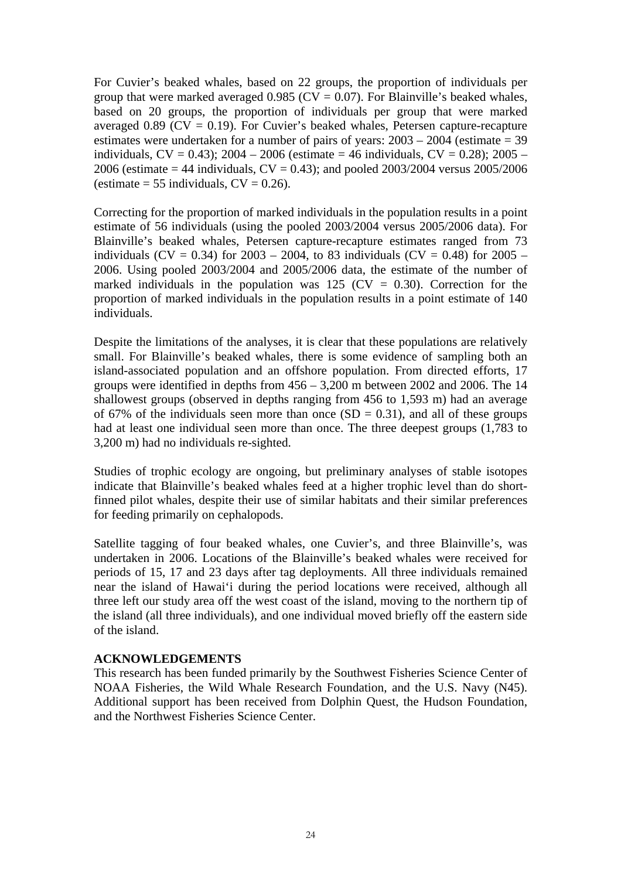For Cuvier's beaked whales, based on 22 groups, the proportion of individuals per group that were marked averaged  $0.985$  (CV = 0.07). For Blainville's beaked whales, based on 20 groups, the proportion of individuals per group that were marked averaged 0.89 ( $CV = 0.19$ ). For Cuvier's beaked whales, Petersen capture-recapture estimates were undertaken for a number of pairs of years: 2003 – 2004 (estimate = 39 individuals,  $CV = 0.43$ ;  $2004 - 2006$  (estimate = 46 individuals,  $CV = 0.28$ );  $2005 -$ 2006 (estimate  $= 44$  individuals,  $CV = 0.43$ ); and pooled 2003/2004 versus 2005/2006 (estimate  $= 55$  individuals,  $CV = 0.26$ ).

Correcting for the proportion of marked individuals in the population results in a point estimate of 56 individuals (using the pooled 2003/2004 versus 2005/2006 data). For Blainville's beaked whales, Petersen capture-recapture estimates ranged from 73 individuals (CV = 0.34) for 2003 – 2004, to 83 individuals (CV = 0.48) for 2005 – 2006. Using pooled 2003/2004 and 2005/2006 data, the estimate of the number of marked individuals in the population was 125 ( $CV = 0.30$ ). Correction for the proportion of marked individuals in the population results in a point estimate of 140 individuals.

Despite the limitations of the analyses, it is clear that these populations are relatively small. For Blainville's beaked whales, there is some evidence of sampling both an island-associated population and an offshore population. From directed efforts, 17 groups were identified in depths from 456 – 3,200 m between 2002 and 2006. The 14 shallowest groups (observed in depths ranging from 456 to 1,593 m) had an average of 67% of the individuals seen more than once  $(SD = 0.31)$ , and all of these groups had at least one individual seen more than once. The three deepest groups (1,783 to 3,200 m) had no individuals re-sighted.

Studies of trophic ecology are ongoing, but preliminary analyses of stable isotopes indicate that Blainville's beaked whales feed at a higher trophic level than do shortfinned pilot whales, despite their use of similar habitats and their similar preferences for feeding primarily on cephalopods.

Satellite tagging of four beaked whales, one Cuvier's, and three Blainville's, was undertaken in 2006. Locations of the Blainville's beaked whales were received for periods of 15, 17 and 23 days after tag deployments. All three individuals remained near the island of Hawai'i during the period locations were received, although all three left our study area off the west coast of the island, moving to the northern tip of the island (all three individuals), and one individual moved briefly off the eastern side of the island.

#### **ACKNOWLEDGEMENTS**

This research has been funded primarily by the Southwest Fisheries Science Center of NOAA Fisheries, the Wild Whale Research Foundation, and the U.S. Navy (N45). Additional support has been received from Dolphin Quest, the Hudson Foundation, and the Northwest Fisheries Science Center.